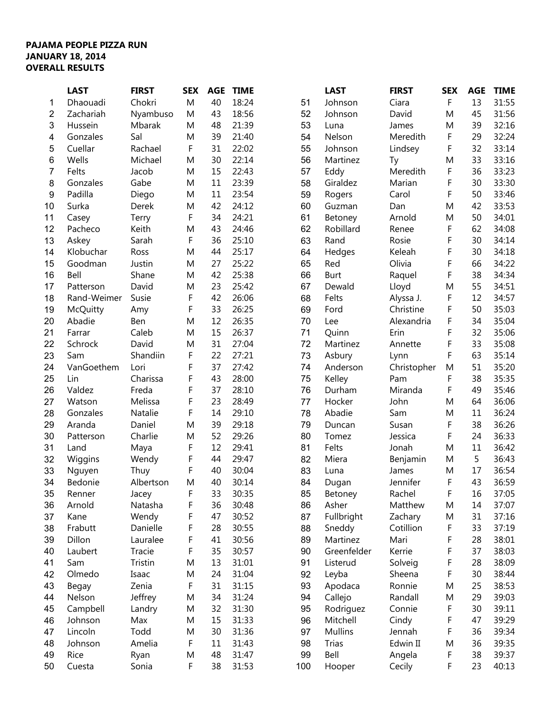## **PAJAMA PEOPLE PIZZA RUN JANUARY 18, 2014 OVERALL RESULTS**

|                         | <b>LAST</b>     | <b>FIRST</b> | <b>SEX</b> | <b>AGE</b> | <b>TIME</b> |     | <b>LAST</b>  | <b>FIRST</b> | <b>SEX</b> | <b>AGE</b> | <b>TIME</b> |
|-------------------------|-----------------|--------------|------------|------------|-------------|-----|--------------|--------------|------------|------------|-------------|
| 1                       | Dhaouadi        | Chokri       | M          | 40         | 18:24       | 51  | Johnson      | Ciara        | F          | 13         | 31:55       |
| $\overline{\mathbf{c}}$ | Zachariah       | Nyambuso     | M          | 43         | 18:56       | 52  | Johnson      | David        | M          | 45         | 31:56       |
| 3                       | Hussein         | Mbarak       | M          | 48         | 21:39       | 53  | Luna         | James        | M          | 39         | 32:16       |
| 4                       | Gonzales        | Sal          | M          | 39         | 21:40       | 54  | Nelson       | Meredith     | F          | 29         | 32:24       |
| 5                       | Cuellar         | Rachael      | F          | 31         | 22:02       | 55  | Johnson      | Lindsey      | F          | 32         | 33:14       |
| 6                       | Wells           | Michael      | M          | 30         | 22:14       | 56  | Martinez     | Ty           | M          | 33         | 33:16       |
| 7                       | Felts           | Jacob        | M          | 15         | 22:43       | 57  | Eddy         | Meredith     | F          | 36         | 33:23       |
| 8                       | Gonzales        | Gabe         | M          | 11         | 23:39       | 58  | Giraldez     | Marian       | F          | 30         | 33:30       |
| 9                       | Padilla         | Diego        | M          | 11         | 23:54       | 59  | Rogers       | Carol        | F          | 50         | 33:46       |
| 10                      | Surka           | Derek        | M          | 42         | 24:12       | 60  | Guzman       | Dan          | M          | 42         | 33:53       |
| 11                      | Casey           | Terry        | F          | 34         | 24:21       | 61  | Betoney      | Arnold       | M          | 50         | 34:01       |
| 12                      | Pacheco         | Keith        | M          | 43         | 24:46       | 62  | Robillard    | Renee        | F          | 62         | 34:08       |
| 13                      | Askey           | Sarah        | F          | 36         | 25:10       | 63  | Rand         | Rosie        | F          | 30         | 34:14       |
| 14                      | Klobuchar       | Ross         | M          | 44         | 25:17       | 64  | Hedges       | Keleah       | F          | 30         | 34:18       |
| 15                      | Goodman         | Justin       | M          | 27         | 25:22       | 65  | Red          | Olivia       | F          | 66         | 34:22       |
| 16                      | Bell            | Shane        | M          | 42         | 25:38       | 66  | <b>Burt</b>  | Raquel       | F          | 38         | 34:34       |
| 17                      | Patterson       | David        | M          | 23         | 25:42       | 67  | Dewald       | Lloyd        | M          | 55         | 34:51       |
| 18                      | Rand-Weimer     | Susie        | F          | 42         | 26:06       | 68  | Felts        | Alyssa J.    | F          | 12         | 34:57       |
| 19                      | <b>McQuitty</b> | Amy          | F          | 33         | 26:25       | 69  | Ford         | Christine    | F          | 50         | 35:03       |
| 20                      | Abadie          | Ben          | M          | 12         | 26:35       | 70  | Lee          | Alexandria   | F          | 34         | 35:04       |
| 21                      | Farrar          | Caleb        | M          | 15         | 26:37       | 71  | Quinn        | Erin         | F          | 32         | 35:06       |
| 22                      | Schrock         | David        | M          | 31         | 27:04       | 72  | Martinez     | Annette      | F          | 33         | 35:08       |
|                         |                 |              |            | 22         |             | 73  |              |              | F          | 63         |             |
| 23                      | Sam             | Shandiin     | F<br>F     | 37         | 27:21       |     | Asbury       | Lynn         |            |            | 35:14       |
| 24                      | VanGoethem      | Lori         |            |            | 27:42       | 74  | Anderson     | Christopher  | M          | 51         | 35:20       |
| 25                      | Lin             | Charissa     | F          | 43         | 28:00       | 75  | Kelley       | Pam          | F          | 38         | 35:35       |
| 26                      | Valdez          | Freda        | F          | 37         | 28:10       | 76  | Durham       | Miranda      | F          | 49         | 35:46       |
| 27                      | Watson          | Melissa      | F          | 23         | 28:49       | 77  | Hocker       | John         | M          | 64         | 36:06       |
| 28                      | Gonzales        | Natalie      | F          | 14         | 29:10       | 78  | Abadie       | Sam          | M          | 11         | 36:24       |
| 29                      | Aranda          | Daniel       | M          | 39         | 29:18       | 79  | Duncan       | Susan        | F          | 38         | 36:26       |
| 30                      | Patterson       | Charlie      | M          | 52         | 29:26       | 80  | Tomez        | Jessica      | F          | 24         | 36:33       |
| 31                      | Land            | Maya         | F          | 12         | 29:41       | 81  | Felts        | Jonah        | M          | 11         | 36:42       |
| 32                      | Wiggins         | Wendy        | F          | 44         | 29:47       | 82  | Miera        | Benjamin     | M          | 5          | 36:43       |
| 33                      | Nguyen          | Thuy         | F          | 40         | 30:04       | 83  | Luna         | James        | M          | 17         | 36:54       |
| 34                      | Bedonie         | Albertson    | M          | 40         | 30:14       | 84  | Dugan        | Jennifer     | F          | 43         | 36:59       |
| 35                      | Renner          | Jacey        | F          | 33         | 30:35       | 85  | Betoney      | Rachel       | F          | 16         | 37:05       |
| 36                      | Arnold          | Natasha      | F          | 36         | 30:48       | 86  | Asher        | Matthew      | M          | 14         | 37:07       |
| 37                      | Kane            | Wendy        | F          | 47         | 30:52       | 87  | Fullbright   | Zachary      | M          | 31         | 37:16       |
| 38                      | Frabutt         | Danielle     | F          | 28         | 30:55       | 88  | Sneddy       | Cotillion    | F          | 33         | 37:19       |
| 39                      | Dillon          | Lauralee     | F          | 41         | 30:56       | 89  | Martinez     | Mari         | F          | 28         | 38:01       |
| 40                      | Laubert         | Tracie       | F          | 35         | 30:57       | 90  | Greenfelder  | Kerrie       | F          | 37         | 38:03       |
| 41                      | Sam             | Tristin      | M          | 13         | 31:01       | 91  | Listerud     | Solveig      | F          | 28         | 38:09       |
| 42                      | Olmedo          | Isaac        | M          | 24         | 31:04       | 92  | Leyba        | Sheena       | F          | 30         | 38:44       |
| 43                      | Begay           | Zenia        | F          | 31         | 31:15       | 93  | Apodaca      | Ronnie       | M          | 25         | 38:53       |
| 44                      | Nelson          | Jeffrey      | M          | 34         | 31:24       | 94  | Callejo      | Randall      | M          | 29         | 39:03       |
| 45                      | Campbell        | Landry       | M          | 32         | 31:30       | 95  | Rodriguez    | Connie       | F          | 30         | 39:11       |
| 46                      | Johnson         | Max          | M          | 15         | 31:33       | 96  | Mitchell     | Cindy        | F          | 47         | 39:29       |
| 47                      | Lincoln         | Todd         | M          | 30         | 31:36       | 97  | Mullins      | Jennah       | F          | 36         | 39:34       |
| 48                      | Johnson         | Amelia       | F          | 11         | 31:43       | 98  | <b>Trias</b> | Edwin II     | M          | 36         | 39:35       |
| 49                      | Rice            | Ryan         | M          | 48         | 31:47       | 99  | Bell         | Angela       | F          | 38         | 39:37       |
| 50                      | Cuesta          | Sonia        | F          | 38         | 31:53       | 100 | Hooper       | Cecily       | F          | 23         | 40:13       |
|                         |                 |              |            |            |             |     |              |              |            |            |             |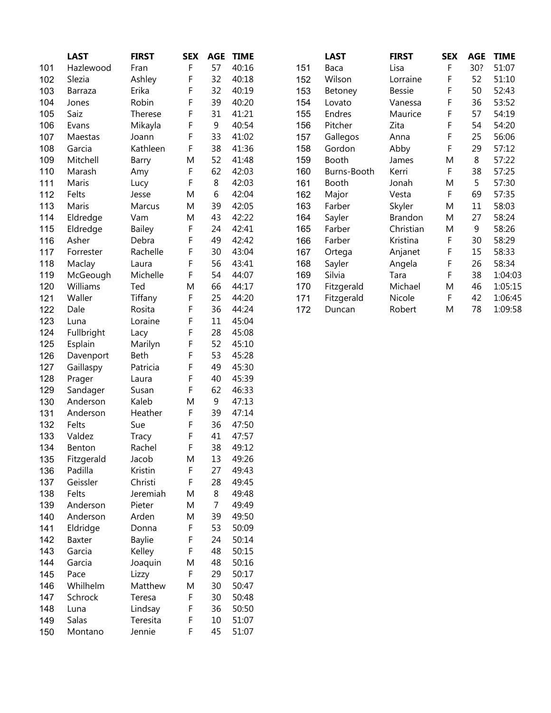|     | <b>LAST</b> | <b>FIRST</b>  | <b>SEX</b> | <b>AGE</b>     | <b>TIME</b> |     | <b>LAST</b> | <b>FIRST</b>  |
|-----|-------------|---------------|------------|----------------|-------------|-----|-------------|---------------|
| 101 | Hazlewood   | Fran          | F          | 57             | 40:16       | 151 | Baca        | Lisa          |
| 102 | Slezia      | Ashley        | F          | 32             | 40:18       | 152 | Wilson      | Lorraine      |
| 103 | Barraza     | Erika         | F          | 32             | 40:19       | 153 | Betoney     | <b>Bessie</b> |
| 104 | Jones       | Robin         | F          | 39             | 40:20       | 154 | Lovato      | Vanessa       |
| 105 | Saiz        | Therese       | F          | 31             | 41:21       | 155 | Endres      | Maurice       |
| 106 | Evans       | Mikayla       | F          | 9              | 40:54       | 156 | Pitcher     | Zita          |
| 107 | Maestas     | Joann         | F          | 33             | 41:02       | 157 | Gallegos    | Anna          |
| 108 | Garcia      | Kathleen      | F          | 38             | 41:36       | 158 | Gordon      | Abby          |
| 109 | Mitchell    | Barry         | M          | 52             | 41:48       | 159 | Booth       | James         |
| 110 | Marash      | Amy           | F          | 62             | 42:03       | 160 | Burns-Booth | Kerri         |
| 111 | Maris       | Lucy          | F          | 8              | 42:03       | 161 | Booth       | Jonah         |
| 112 | Felts       | Jesse         | M          | 6              | 42:04       | 162 | Major       | Vesta         |
| 113 | Maris       | Marcus        | M          | 39             | 42:05       | 163 | Farber      | Skyler        |
| 114 | Eldredge    | Vam           | M          | 43             | 42:22       | 164 | Sayler      | Brandor       |
| 115 | Eldredge    | <b>Bailey</b> | F          | 24             | 42:41       | 165 | Farber      | Christia      |
| 116 | Asher       | Debra         | F          | 49             | 42:42       | 166 | Farber      | Kristina      |
| 117 | Forrester   | Rachelle      | F          | 30             | 43:04       | 167 | Ortega      | Anjanet       |
| 118 | Maclay      | Laura         | F          | 56             | 43:41       | 168 | Sayler      | Angela        |
| 119 | McGeough    | Michelle      | F          | 54             | 44:07       | 169 | Silvia      | Tara          |
| 120 | Williams    | Ted           | M          | 66             | 44:17       | 170 | Fitzgerald  | Michael       |
| 121 | Waller      | Tiffany       | F          | 25             | 44:20       | 171 | Fitzgerald  | Nicole        |
| 122 | Dale        | Rosita        | F          | 36             | 44:24       | 172 | Duncan      | Robert        |
| 123 | Luna        | Loraine       | F          | 11             | 45:04       |     |             |               |
| 124 | Fullbright  | Lacy          | F          | 28             | 45:08       |     |             |               |
| 125 | Esplain     | Marilyn       | F          | 52             | 45:10       |     |             |               |
| 126 | Davenport   | Beth          | F          | 53             | 45:28       |     |             |               |
| 127 | Gaillaspy   | Patricia      | F          | 49             | 45:30       |     |             |               |
| 128 | Prager      | Laura         | F          | 40             | 45:39       |     |             |               |
| 129 | Sandager    | Susan         | F          | 62             | 46:33       |     |             |               |
| 130 | Anderson    | Kaleb         | M          | 9              | 47:13       |     |             |               |
| 131 | Anderson    | Heather       | F          | 39             | 47:14       |     |             |               |
| 132 | Felts       | Sue           | F          | 36             | 47:50       |     |             |               |
| 133 | Valdez      | Tracy         | F          | 41             | 47:57       |     |             |               |
| 134 | Benton      | Rachel        | F          | 38             | 49:12       |     |             |               |
| 135 | Fitzgerald  | Jacob         | M          | 13             | 49:26       |     |             |               |
| 136 | Padilla     | Kristin       | F          | 27             | 49:43       |     |             |               |
| 137 | Geissler    | Christi       | F          | 28             | 49:45       |     |             |               |
| 138 | Felts       | Jeremiah      | M          | 8              | 49:48       |     |             |               |
| 139 | Anderson    | Pieter        | M          | $\overline{7}$ | 49:49       |     |             |               |
| 140 | Anderson    | Arden         | M          | 39             | 49:50       |     |             |               |
| 141 | Eldridge    | Donna         | F          | 53             | 50:09       |     |             |               |
| 142 | Baxter      | <b>Baylie</b> | F          | 24             | 50:14       |     |             |               |
| 143 | Garcia      | Kelley        | F          | 48             | 50:15       |     |             |               |
| 144 | Garcia      | Joaquin       | M          | 48             | 50:16       |     |             |               |
| 145 | Pace        | Lizzy         | F          | 29             | 50:17       |     |             |               |
| 146 | Whilhelm    | Matthew       | M          | 30             | 50:47       |     |             |               |
| 147 | Schrock     | Teresa        | F          | 30             | 50:48       |     |             |               |
| 148 | Luna        | Lindsay       | F          | 36             | 50:50       |     |             |               |
| 149 | Salas       | Teresita      | F          | 10             | 51:07       |     |             |               |
| 150 | Montano     | Jennie        | F          | 45             | 51:07       |     |             |               |

| <b>LAST</b> | <b>FIRST</b>  | <b>SEX</b> | <b>AGE</b> | <b>TIME</b> |     | <b>LAST</b> | <b>FIRST</b>   | <b>SEX</b> | <b>AGE</b> | <b>TIME</b> |
|-------------|---------------|------------|------------|-------------|-----|-------------|----------------|------------|------------|-------------|
| Hazlewood   | Fran          | F          | 57         | 40:16       | 151 | Baca        | Lisa           | F          | 30?        | 51:07       |
| Slezia      | Ashley        | F          | 32         | 40:18       | 152 | Wilson      | Lorraine       | F          | 52         | 51:10       |
| Barraza     | Erika         | F          | 32         | 40:19       | 153 | Betoney     | <b>Bessie</b>  | F          | 50         | 52:43       |
| Jones       | Robin         | F          | 39         | 40:20       | 154 | Lovato      | Vanessa        | F          | 36         | 53:52       |
| Saiz        | Therese       | F          | 31         | 41:21       | 155 | Endres      | Maurice        | F          | 57         | 54:19       |
| Evans       | Mikayla       | F          | 9          | 40:54       | 156 | Pitcher     | Zita           | F          | 54         | 54:20       |
| Maestas     | Joann         | F          | 33         | 41:02       | 157 | Gallegos    | Anna           | F          | 25         | 56:06       |
| Garcia      | Kathleen      | F          | 38         | 41:36       | 158 | Gordon      | Abby           | F          | 29         | 57:12       |
| Mitchell    | Barry         | M          | 52         | 41:48       | 159 | Booth       | James          | M          | 8          | 57:22       |
| Marash      | Amy           | F          | 62         | 42:03       | 160 | Burns-Booth | Kerri          | F          | 38         | 57:25       |
| Maris       | Lucy          | F          | 8          | 42:03       | 161 | Booth       | Jonah          | M          | 5          | 57:30       |
| Felts       | Jesse         | M          | 6          | 42:04       | 162 | Major       | Vesta          | F          | 69         | 57:35       |
| Maris       | Marcus        | M          | 39         | 42:05       | 163 | Farber      | Skyler         | M          | 11         | 58:03       |
| Eldredge    | Vam           | M          | 43         | 42:22       | 164 | Sayler      | <b>Brandon</b> | M          | 27         | 58:24       |
| Eldredge    | <b>Bailey</b> | F          | 24         | 42:41       | 165 | Farber      | Christian      | M          | 9          | 58:26       |
| Asher       | Debra         | F          | 49         | 42:42       | 166 | Farber      | Kristina       | F          | 30         | 58:29       |
| Forrester   | Rachelle      | F          | 30         | 43:04       | 167 | Ortega      | Anjanet        | F          | 15         | 58:33       |
| Maclay      | Laura         | F          | 56         | 43:41       | 168 | Sayler      | Angela         | F          | 26         | 58:34       |
| McGeough    | Michelle      | F          | 54         | 44:07       | 169 | Silvia      | Tara           | F          | 38         | 1:04:03     |
| Williams    | Ted           | M          | 66         | 44:17       | 170 | Fitzgerald  | Michael        | M          | 46         | 1:05:15     |
| Waller      | Tiffany       | F          | 25         | 44:20       | 171 | Fitzgerald  | Nicole         | F          | 42         | 1:06:45     |
| Dale        | Rosita        | F          | 36         | 44:24       | 172 | Duncan      | Robert         | M          | 78         | 1:09:58     |
|             |               |            |            |             |     |             |                |            |            |             |